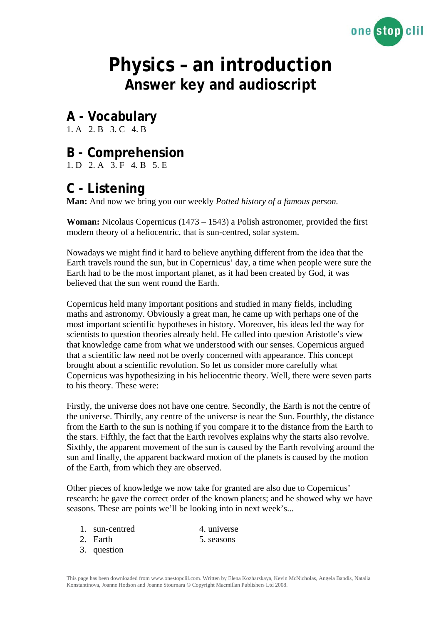

# **Physics – an introduction Answer key and audioscript**

### **A - Vocabulary**

1. A 2. B 3. C 4. B

### **B - Comprehension**

1. D 2. A 3. F 4. B 5. E

### **C - Listening**

**Man:** And now we bring you our weekly *Potted history of a famous person.* 

**Woman:** Nicolaus Copernicus (1473 – 1543) a Polish astronomer, provided the first modern theory of a heliocentric, that is sun-centred, solar system.

Nowadays we might find it hard to believe anything different from the idea that the Earth travels round the sun, but in Copernicus' day, a time when people were sure the Earth had to be the most important planet, as it had been created by God, it was believed that the sun went round the Earth.

Copernicus held many important positions and studied in many fields, including maths and astronomy. Obviously a great man, he came up with perhaps one of the most important scientific hypotheses in history. Moreover, his ideas led the way for scientists to question theories already held. He called into question Aristotle's view that knowledge came from what we understood with our senses. Copernicus argued that a scientific law need not be overly concerned with appearance. This concept brought about a scientific revolution. So let us consider more carefully what Copernicus was hypothesizing in his heliocentric theory. Well, there were seven parts to his theory. These were:

Firstly, the universe does not have one centre. Secondly, the Earth is not the centre of the universe. Thirdly, any centre of the universe is near the Sun. Fourthly, the distance from the Earth to the sun is nothing if you compare it to the distance from the Earth to the stars. Fifthly, the fact that the Earth revolves explains why the starts also revolve. Sixthly, the apparent movement of the sun is caused by the Earth revolving around the sun and finally, the apparent backward motion of the planets is caused by the motion of the Earth, from which they are observed.

Other pieces of knowledge we now take for granted are also due to Copernicus' research: he gave the correct order of the known planets; and he showed why we have seasons. These are points we'll be looking into in next week's...

1. sun-centred 4. universe

- 2. Earth 5. seasons 3. question
	-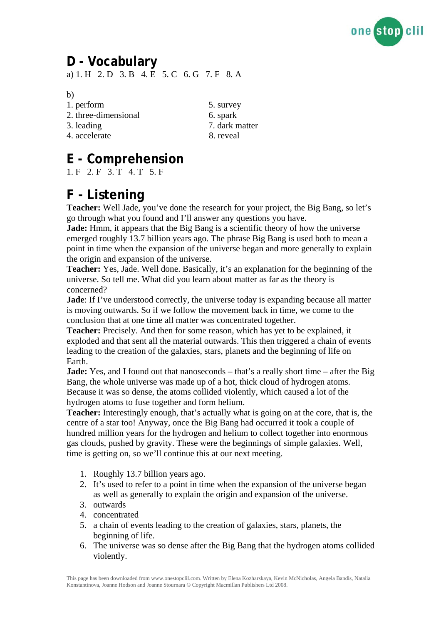

### **D - Vocabulary**  a) 1. H 2. D 3. B 4. E 5. C 6. G 7. F 8. A

b)

- 1. perform 5. survey
- 2. three-dimensional 6. spark
- 
- 4. accelerate 8. reveal
- 3. leading 7. dark matter

## **E - Comprehension**

1. F 2. F 3. T 4. T 5. F

### **F - Listening**

**Teacher:** Well Jade, you've done the research for your project, the Big Bang, so let's go through what you found and I'll answer any questions you have.

**Jade:** Hmm, it appears that the Big Bang is a scientific theory of how the universe emerged roughly 13.7 billion years ago. The phrase Big Bang is used both to mean a point in time when the expansion of the universe began and more generally to explain the origin and expansion of the universe.

**Teacher:** Yes, Jade. Well done. Basically, it's an explanation for the beginning of the universe. So tell me. What did you learn about matter as far as the theory is concerned?

**Jade**: If I've understood correctly, the universe today is expanding because all matter is moving outwards. So if we follow the movement back in time, we come to the conclusion that at one time all matter was concentrated together.

**Teacher:** Precisely. And then for some reason, which has yet to be explained, it exploded and that sent all the material outwards. This then triggered a chain of events leading to the creation of the galaxies, stars, planets and the beginning of life on Earth.

**Jade:** Yes, and I found out that nanoseconds – that's a really short time – after the Big Bang, the whole universe was made up of a hot, thick cloud of hydrogen atoms. Because it was so dense, the atoms collided violently, which caused a lot of the hydrogen atoms to fuse together and form helium.

**Teacher:** Interestingly enough, that's actually what is going on at the core, that is, the centre of a star too! Anyway, once the Big Bang had occurred it took a couple of hundred million years for the hydrogen and helium to collect together into enormous gas clouds, pushed by gravity. These were the beginnings of simple galaxies. Well, time is getting on, so we'll continue this at our next meeting.

- 1. Roughly 13.7 billion years ago.
- 2. It's used to refer to a point in time when the expansion of the universe began as well as generally to explain the origin and expansion of the universe.
- 3. outwards
- 4. concentrated
- 5. a chain of events leading to the creation of galaxies, stars, planets, the beginning of life.
- 6. The universe was so dense after the Big Bang that the hydrogen atoms collided violently.